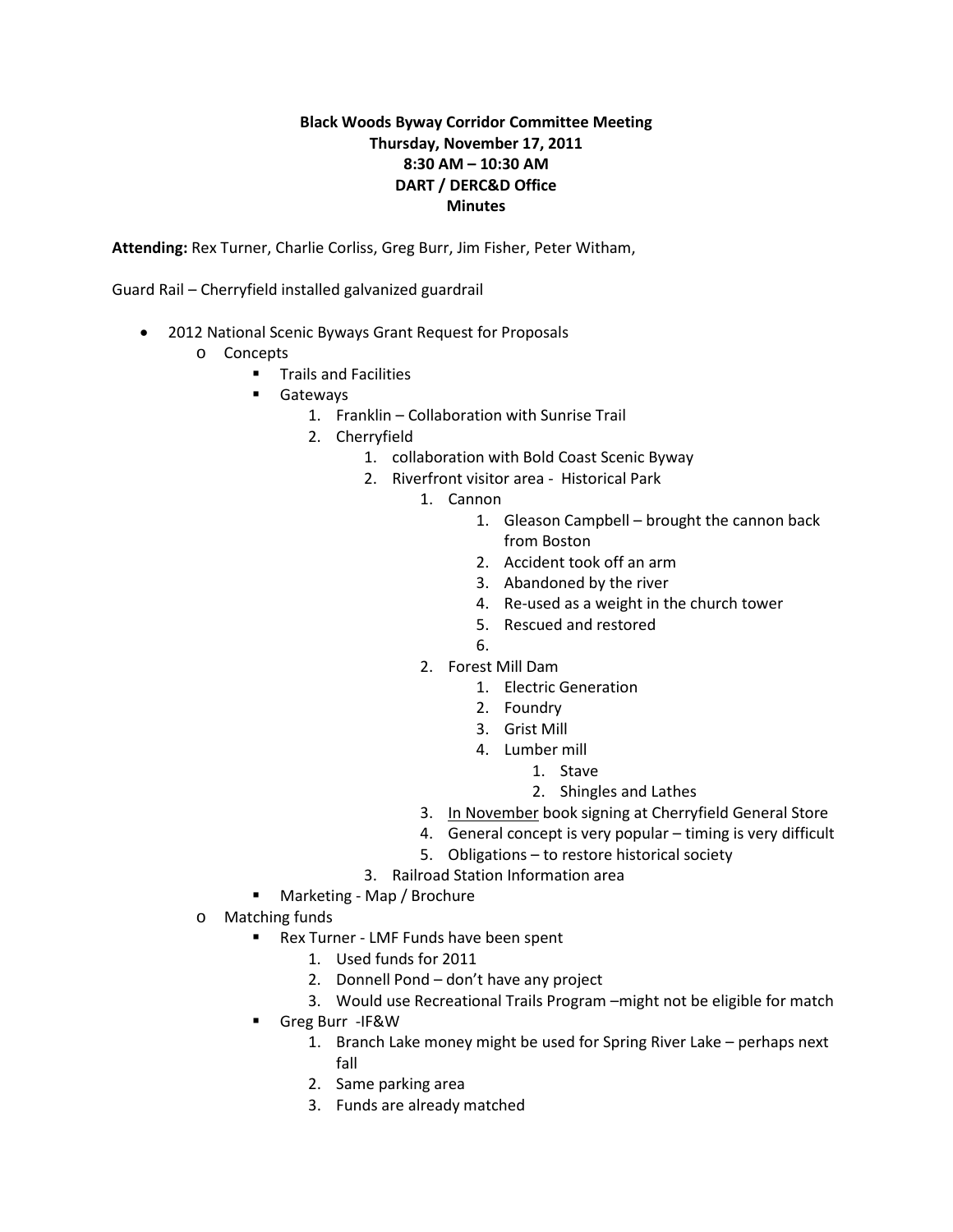## **Black Woods Byway Corridor Committee Meeting Thursday, November 17, 2011 8:30 AM – 10:30 AM DART / DERC&D Office Minutes**

**Attending:** Rex Turner, Charlie Corliss, Greg Burr, Jim Fisher, Peter Witham,

Guard Rail – Cherryfield installed galvanized guardrail

- 2012 National Scenic Byways Grant Request for Proposals
	- o Concepts
		- **Trails and Facilities**
		- **Gateways** 
			- 1. Franklin Collaboration with Sunrise Trail
			- 2. Cherryfield
				- 1. collaboration with Bold Coast Scenic Byway
				- 2. Riverfront visitor area Historical Park
					- 1. Cannon
						- 1. Gleason Campbell brought the cannon back from Boston
						- 2. Accident took off an arm
						- 3. Abandoned by the river
						- 4. Re-used as a weight in the church tower
						- 5. Rescued and restored
						- 6.
					- 2. Forest Mill Dam
						- 1. Electric Generation
						- 2. Foundry
						- 3. Grist Mill
						- 4. Lumber mill
							- 1. Stave
							- 2. Shingles and Lathes
					- 3. In November book signing at Cherryfield General Store
					- 4. General concept is very popular timing is very difficult
					- 5. Obligations to restore historical society
				- 3. Railroad Station Information area
		- Marketing Map / Brochure
	- o Matching funds
		- **Rex Turner LMF Funds have been spent** 
			- 1. Used funds for 2011
			- 2. Donnell Pond don't have any project
			- 3. Would use Recreational Trails Program –might not be eligible for match
		- Greg Burr -IF&W
			- 1. Branch Lake money might be used for Spring River Lake perhaps next fall
			- 2. Same parking area
			- 3. Funds are already matched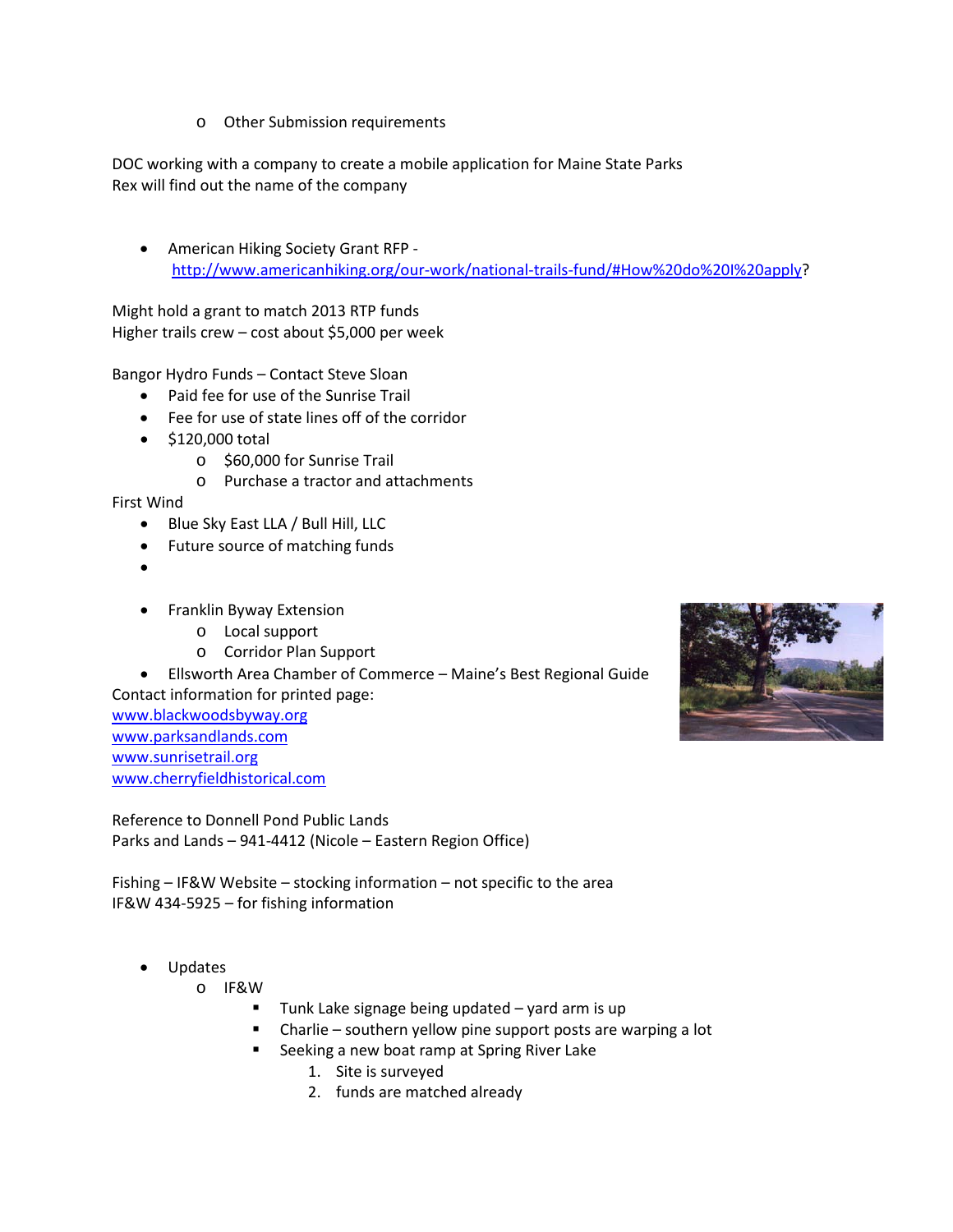o Other Submission requirements

DOC working with a company to create a mobile application for Maine State Parks Rex will find out the name of the company

• American Hiking Society Grant RFP [http://www.americanhiking.org/our-work/national-trails-fund/#How%20do%20I%20apply?](http://www.americanhiking.org/our-work/national-trails-fund/#How%20do%20I%20apply)

Might hold a grant to match 2013 RTP funds Higher trails crew – cost about \$5,000 per week

Bangor Hydro Funds – Contact Steve Sloan

- Paid fee for use of the Sunrise Trail
- Fee for use of state lines off of the corridor
- \$120,000 total
	- o \$60,000 for Sunrise Trail
	- o Purchase a tractor and attachments

First Wind

- Blue Sky East LLA / Bull Hill, LLC
- Future source of matching funds
- •
- Franklin Byway Extension
	- o Local support
	- o Corridor Plan Support

• Ellsworth Area Chamber of Commerce – Maine's Best Regional Guide Contact information for printed page:

[www.blackwoodsbyway.org](http://www.blackwoodsbyway.org/) [www.parksandlands.com](http://www.parksandlands.com/) [www.sunrisetrail.org](http://www.sunrisetrail.org/) [www.cherryfieldhistorical.com](http://www.cherryfieldhistorical.com/)

Reference to Donnell Pond Public Lands Parks and Lands – 941-4412 (Nicole – Eastern Region Office)

Fishing – IF&W Website – stocking information – not specific to the area IF&W 434-5925 – for fishing information

- Updates
	- o IF&W
		- Tunk Lake signage being updated yard arm is up
		- Charlie southern yellow pine support posts are warping a lot
		- Seeking a new boat ramp at Spring River Lake
			- 1. Site is surveyed
			- 2. funds are matched already

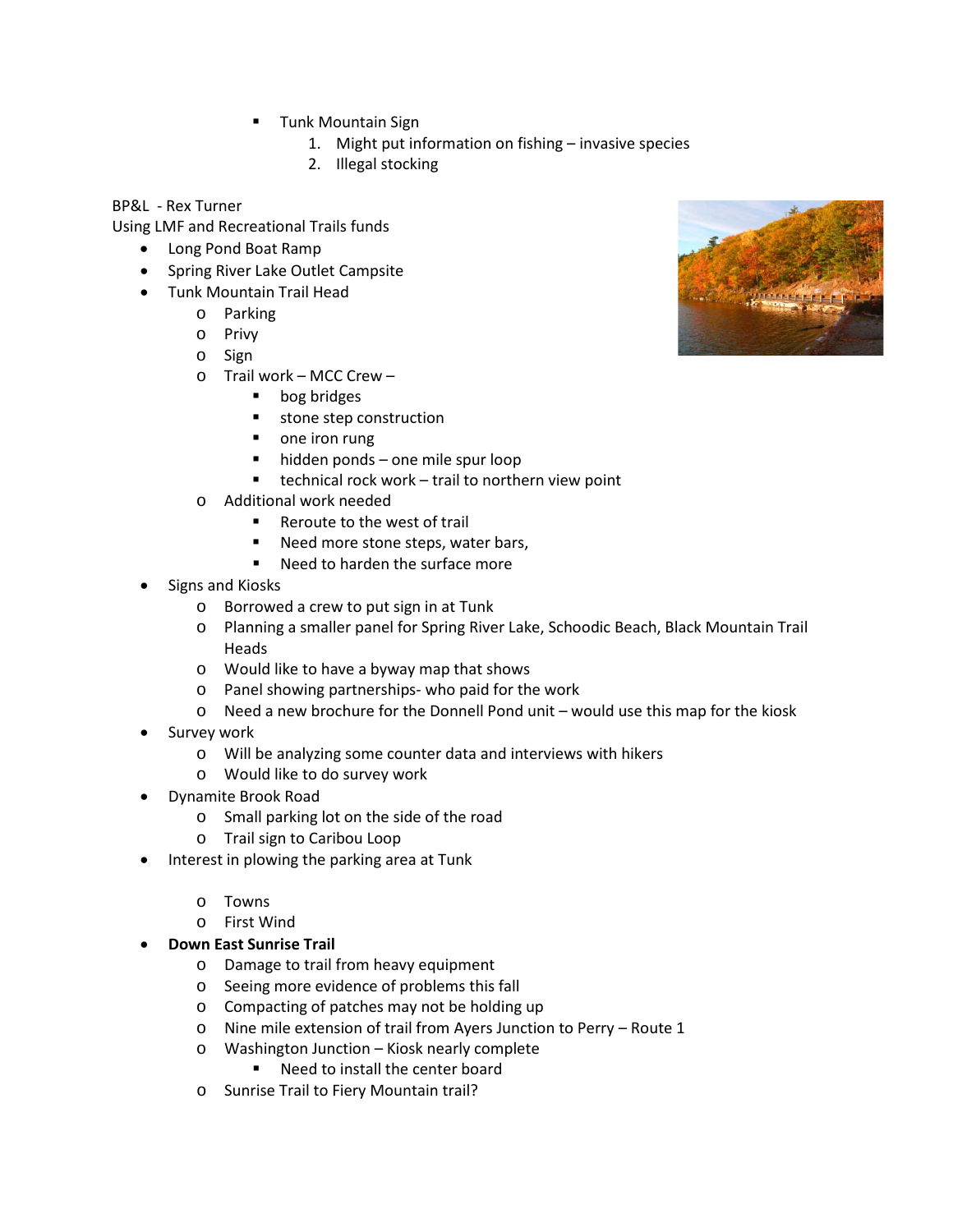- Tunk Mountain Sign
	- 1. Might put information on fishing invasive species
	- 2. Illegal stocking

BP&L - Rex Turner

Using LMF and Recreational Trails funds

- Long Pond Boat Ramp
- Spring River Lake Outlet Campsite
- Tunk Mountain Trail Head
	- o Parking
	- o Privy
	- o Sign
	- o Trail work MCC Crew
		- **bog bridges**
		- **stone step construction**
		- one iron rung
		- hidden ponds one mile spur loop
		- $\blacksquare$  technical rock work trail to northern view point
	- o Additional work needed
		- Reroute to the west of trail
		- Need more stone steps, water bars,
		- Need to harden the surface more
- Signs and Kiosks
	- o Borrowed a crew to put sign in at Tunk
	- o Planning a smaller panel for Spring River Lake, Schoodic Beach, Black Mountain Trail Heads
	- o Would like to have a byway map that shows
	- o Panel showing partnerships- who paid for the work
	- $\circ$  Need a new brochure for the Donnell Pond unit would use this map for the kiosk
- Survey work
	- o Will be analyzing some counter data and interviews with hikers
	- o Would like to do survey work
- Dynamite Brook Road
	- o Small parking lot on the side of the road
	- o Trail sign to Caribou Loop
- Interest in plowing the parking area at Tunk
	- o Towns
	- o First Wind
- **Down East Sunrise Trail**
	- o Damage to trail from heavy equipment
	- o Seeing more evidence of problems this fall
	- o Compacting of patches may not be holding up
	- o Nine mile extension of trail from Ayers Junction to Perry Route 1
	- o Washington Junction Kiosk nearly complete
		- Need to install the center board
	- o Sunrise Trail to Fiery Mountain trail?